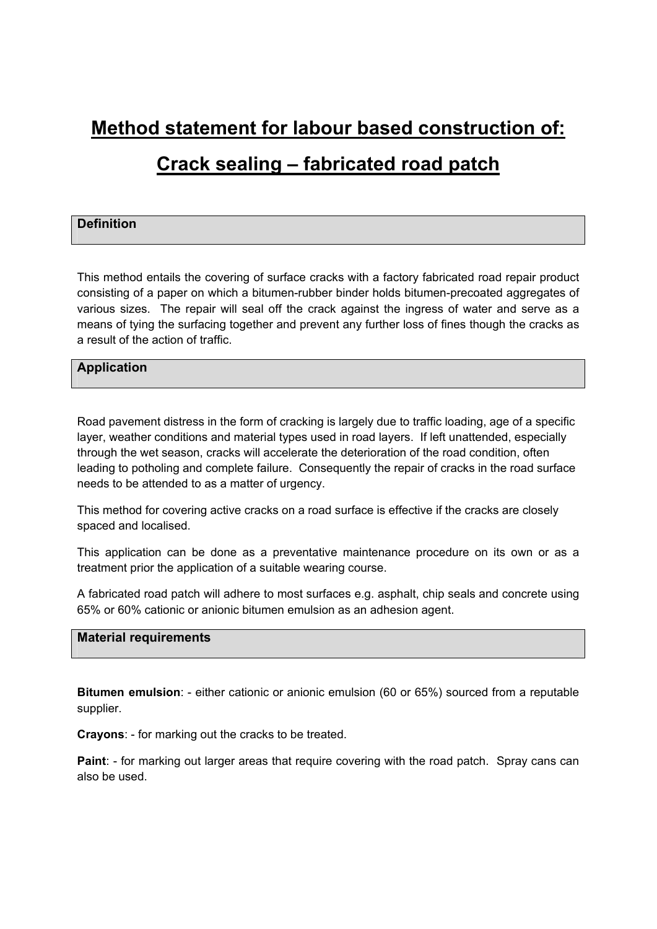# **Method statement for labour based construction of:**

# **Crack sealing – fabricated road patch**

## **Definition**

This method entails the covering of surface cracks with a factory fabricated road repair product consisting of a paper on which a bitumen-rubber binder holds bitumen-precoated aggregates of various sizes. The repair will seal off the crack against the ingress of water and serve as a means of tying the surfacing together and prevent any further loss of fines though the cracks as a result of the action of traffic.

### **Application**

Road pavement distress in the form of cracking is largely due to traffic loading, age of a specific layer, weather conditions and material types used in road layers. If left unattended, especially through the wet season, cracks will accelerate the deterioration of the road condition, often leading to potholing and complete failure. Consequently the repair of cracks in the road surface needs to be attended to as a matter of urgency.

This method for covering active cracks on a road surface is effective if the cracks are closely spaced and localised.

This application can be done as a preventative maintenance procedure on its own or as a treatment prior the application of a suitable wearing course.

A fabricated road patch will adhere to most surfaces e.g. asphalt, chip seals and concrete using 65% or 60% cationic or anionic bitumen emulsion as an adhesion agent.

#### **Material requirements**

**Bitumen emulsion**: - either cationic or anionic emulsion (60 or 65%) sourced from a reputable supplier.

**Crayons**: - for marking out the cracks to be treated.

**Paint**: - for marking out larger areas that require covering with the road patch. Spray cans can also be used.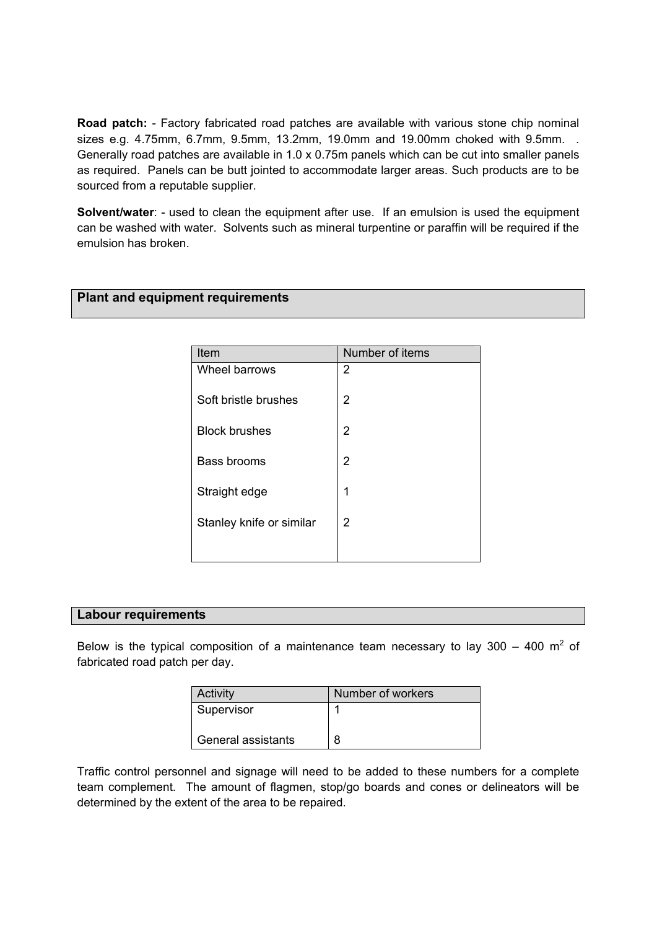**Road patch:** - Factory fabricated road patches are available with various stone chip nominal sizes e.g. 4.75mm, 6.7mm, 9.5mm, 13.2mm, 19.0mm and 19.00mm choked with 9.5mm. . Generally road patches are available in 1.0 x 0.75m panels which can be cut into smaller panels as required. Panels can be butt jointed to accommodate larger areas. Such products are to be sourced from a reputable supplier.

**Solvent/water:** - used to clean the equipment after use. If an emulsion is used the equipment can be washed with water. Solvents such as mineral turpentine or paraffin will be required if the emulsion has broken.

## **Plant and equipment requirements**

| Item                     | Number of items |
|--------------------------|-----------------|
| Wheel barrows            | 2               |
| Soft bristle brushes     | 2               |
| <b>Block brushes</b>     | 2               |
| Bass brooms              | 2               |
| Straight edge            | 1               |
| Stanley knife or similar | 2               |
|                          |                 |

### **Labour requirements**

Below is the typical composition of a maintenance team necessary to lay 300 – 400  $m^2$  of fabricated road patch per day.

| Activity           | Number of workers |
|--------------------|-------------------|
| Supervisor         |                   |
|                    |                   |
| General assistants | 8                 |

Traffic control personnel and signage will need to be added to these numbers for a complete team complement. The amount of flagmen, stop/go boards and cones or delineators will be determined by the extent of the area to be repaired.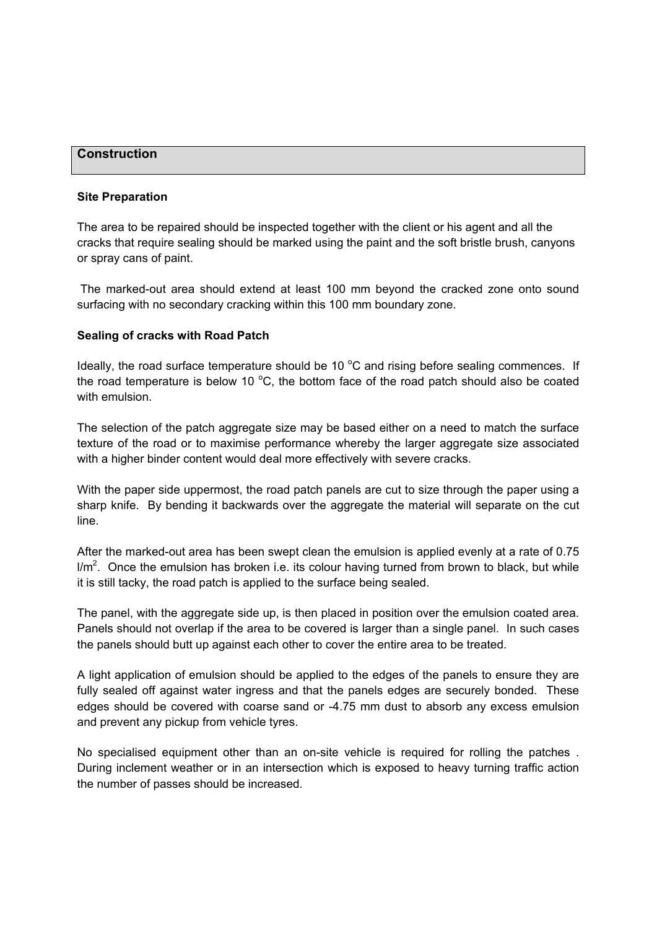#### **Construction**

#### **Site Preparation**

The area to be repaired should be inspected together with the client or his agent and all the cracks that require sealing should be marked using the paint and the soft bristle brush, canyons or spray cans of paint.

 The marked-out area should extend at least 100 mm beyond the cracked zone onto sound surfacing with no secondary cracking within this 100 mm boundary zone.

#### **Sealing of cracks with Road Patch**

Ideally, the road surface temperature should be 10  $^{\circ}$ C and rising before sealing commences. If the road temperature is below 10  $^{\circ}$ C, the bottom face of the road patch should also be coated with emulsion

The selection of the patch aggregate size may be based either on a need to match the surface texture of the road or to maximise performance whereby the larger aggregate size associated with a higher binder content would deal more effectively with severe cracks.

With the paper side uppermost, the road patch panels are cut to size through the paper using a sharp knife. By bending it backwards over the aggregate the material will separate on the cut line.

After the marked-out area has been swept clean the emulsion is applied evenly at a rate of 0.75  $I/m<sup>2</sup>$ . Once the emulsion has broken i.e. its colour having turned from brown to black, but while it is still tacky, the road patch is applied to the surface being sealed.

The panel, with the aggregate side up, is then placed in position over the emulsion coated area. Panels should not overlap if the area to be covered is larger than a single panel. In such cases the panels should butt up against each other to cover the entire area to be treated.

A light application of emulsion should be applied to the edges of the panels to ensure they are fully sealed off against water ingress and that the panels edges are securely bonded. These edges should be covered with coarse sand or -4.75 mm dust to absorb any excess emulsion and prevent any pickup from vehicle tyres.

No specialised equipment other than an on-site vehicle is required for rolling the patches . During inclement weather or in an intersection which is exposed to heavy turning traffic action the number of passes should be increased.